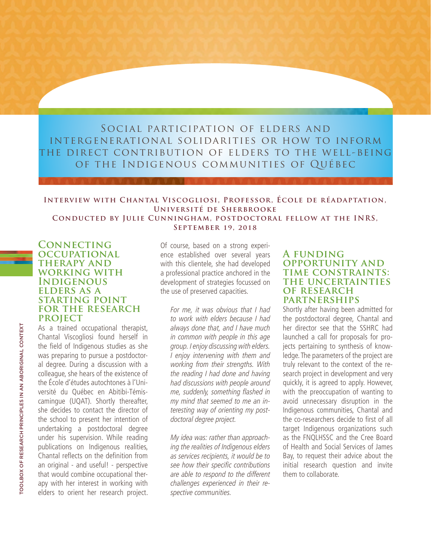# Social participation of elders and intergenerational solidarities or how to inform the direct contribution of elders to the well-being of the Indigenous communities of Québec

# **Interview with Chantal Viscogliosi, Professor, École de réadaptation, Université de Sherbrooke**

**Conducted by Julie Cunningham, postdoctoral fellow at the INRS, September 19, 2018**

# **Connecting occupational therapy and working with Indigenous elders as a starting point for the research project**

As a trained occupational therapist, Chantal Viscogliosi found herself in the field of Indigenous studies as she was preparing to pursue a postdoctoral degree. During a discussion with a colleague, she hears of the existence of the École d'études autochtones à l'Université du Québec en Abitibi-Témiscamingue (UQAT). Shortly thereafter, she decides to contact the director of the school to present her intention of undertaking a postdoctoral degree under his supervision. While reading publications on Indigenous realities, Chantal reflects on the definition from an original - and useful! - perspective that would combine occupational therapy with her interest in working with elders to orient her research project.

Of course, based on a strong experience established over several years with this clientele, she had developed a professional practice anchored in the development of strategies focussed on the use of preserved capacities.

For me, it was obvious that I had to work with elders because I had always done that, and I have much in common with people in this age group. I enjoy discussing with elders. I enjoy intervening with them and working from their strengths. With the reading I had done and having had discussions with people around me, suddenly, something flashed in my mind that seemed to me an interesting way of orienting my postdoctoral degree project.

My idea was: rather than approaching the realities of Indigenous elders as services recipients, it would be to see how their specific contributions are able to respond to the different challenges experienced in their respective communities.

# **A funding opportunity and time constraints: the uncertainties OF RESEARCH partnerships**

Shortly after having been admitted for the postdoctoral degree, Chantal and her director see that the SSHRC had launched a call for proposals for projects pertaining to synthesis of knowledge. The parameters of the project are truly relevant to the context of the research project in development and very quickly, it is agreed to apply. However, with the preoccupation of wanting to avoid unnecessary disruption in the Indigenous communities, Chantal and the co-researchers decide to first of all target Indigenous organizations such as the FNQLHSSC and the Cree Board of Health and Social Services of James Bay, to request their advice about the initial research question and invite them to collaborate.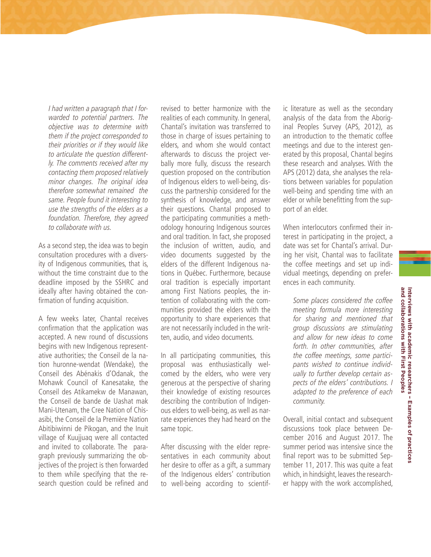I had written a paragraph that I forwarded to potential partners. The objective was to determine with them if the project corresponded to their priorities or if they would like to articulate the question differently. The comments received after my contacting them proposed relatively minor changes. The original idea therefore somewhat remained the same. People found it interesting to use the strengths of the elders as a foundation. Therefore, they agreed to collaborate with us.

As a second step, the idea was to begin consultation procedures with a diversity of Indigenous communities, that is, without the time constraint due to the deadline imposed by the SSHRC and ideally after having obtained the confirmation of funding acquisition.

A few weeks later, Chantal receives confirmation that the application was accepted. A new round of discussions begins with new Indigenous representative authorities; the Conseil de la nation huronne-wendat (Wendake), the Conseil des Abénakis d'Odanak, the Mohawk Council of Kanesatake, the Conseil des Atikamekw de Manawan, the Conseil de bande de Uashat mak Mani-Utenam, the Cree Nation of Chisasibi, the Conseil de la Première Nation Abitibiwinni de Pikogan, and the Inuit village of Kuujjuaq were all contacted and invited to collaborate. The paragraph previously summarizing the objectives of the project is then forwarded to them while specifying that the research question could be refined and

revised to better harmonize with the realities of each community. In general, Chantal's invitation was transferred to those in charge of issues pertaining to elders, and whom she would contact afterwards to discuss the project verbally more fully, discuss the research question proposed on the contribution of Indigenous elders to well-being, discuss the partnership considered for the synthesis of knowledge, and answer their questions. Chantal proposed to the participating communities a methodology honouring Indigenous sources and oral tradition. In fact, she proposed the inclusion of written, audio, and video documents suggested by the elders of the different Indigenous nations in Québec. Furthermore, because oral tradition is especially important among First Nations peoples, the intention of collaborating with the communities provided the elders with the opportunity to share experiences that are not necessarily included in the written, audio, and video documents.

In all participating communities, this proposal was enthusiastically welcomed by the elders, who were very generous at the perspective of sharing their knowledge of existing resources describing the contribution of Indigenous elders to well-being, as well as narrate experiences they had heard on the same topic.

After discussing with the elder representatives in each community about her desire to offer as a gift, a summary of the Indigenous elders' contribution to well-being according to scientific literature as well as the secondary analysis of the data from the Aboriginal Peoples Survey (APS, 2012), as an introduction to the thematic coffee meetings and due to the interest generated by this proposal, Chantal begins these research and analyses. With the APS (2012) data, she analyses the relations between variables for population well-being and spending time with an elder or while benefitting from the support of an elder.

When interlocutors confirmed their interest in participating in the project, a date was set for Chantal's arrival. During her visit, Chantal was to facilitate the coffee meetings and set up individual meetings, depending on preferences in each community.

Some places considered the coffee meeting formula more interesting for sharing and mentioned that group discussions are stimulating and allow for new ideas to come forth. In other communities, after the coffee meetings, some participants wished to continue individually to further develop certain aspects of the elders' contributions. I adapted to the preference of each community.

Overall, initial contact and subsequent discussions took place between December 2016 and August 2017. The summer period was intensive since the final report was to be submitted September 11, 2017. This was quite a feat which, in hindsight, leaves the researcher happy with the work accomplished,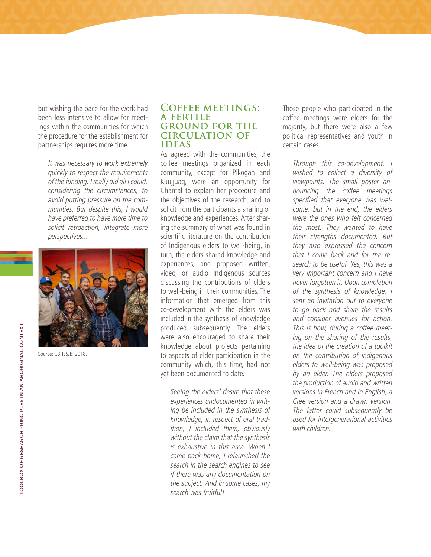but wishing the pace for the work had been less intensive to allow for meetings within the communities for which the procedure for the establishment for partnerships requires more time.

It was necessary to work extremely quickly to respect the requirements of the funding. I really did all I could, considering the circumstances, to avoid putting pressure on the communities. But despite this, I would have preferred to have more time to solicit retroaction, integrate more perspectives...



Source: CBHSSJB, 2018.

#### **Coffee meetings: a fertile ground for the circulation of ideas**

As agreed with the communities, the coffee meetings organized in each community, except for Pikogan and Kuujjuaq, were an opportunity for Chantal to explain her procedure and the objectives of the research, and to solicit from the participants a sharing of knowledge and experiences. After sharing the summary of what was found in scientific literature on the contribution of Indigenous elders to well-being, in turn, the elders shared knowledge and experiences, and proposed written, video, or audio Indigenous sources discussing the contributions of elders to well-being in their communities. The information that emerged from this co-development with the elders was included in the synthesis of knowledge produced subsequently. The elders were also encouraged to share their knowledge about projects pertaining to aspects of elder participation in the community which, this time, had not yet been documented to date.

Seeing the elders' desire that these experiences undocumented in writing be included in the synthesis of knowledge, in respect of oral tradition, I included them, obviously without the claim that the synthesis is exhaustive in this area. When I came back home, I relaunched the search in the search engines to see if there was any documentation on the subject. And in some cases, my search was fruitful!

Those people who participated in the coffee meetings were elders for the majority, but there were also a few political representatives and youth in certain cases.

Through this co-development, I wished to collect a diversity of viewpoints. The small poster announcing the coffee meetings specified that everyone was welcome, but in the end, the elders were the ones who felt concerned the most. They wanted to have their strengths documented. But they also expressed the concern that I come back and for the research to be useful. Yes, this was a very important concern and I have never forgotten it. Upon completion of the synthesis of knowledge, I sent an invitation out to everyone to go back and share the results and consider avenues for action. This is how, during a coffee meeting on the sharing of the results, the idea of the creation of a toolkit on the contribution of Indigenous elders to well-being was proposed by an elder. The elders proposed the production of audio and written versions in French and in English, a Cree version and a drawn version. The latter could subsequently be used for intergenerational activities with children.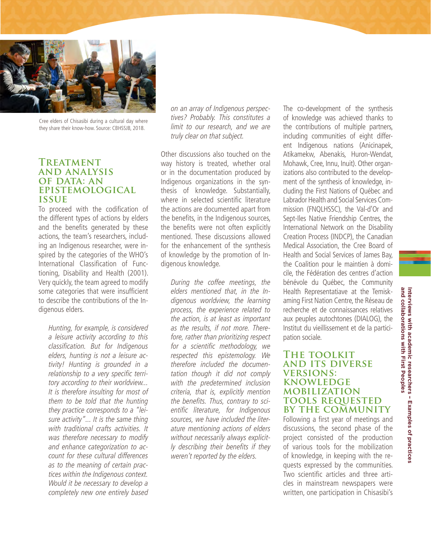

Cree elders of Chisasibi during a cultural day where they share their know-how. Source: CBHSSJB, 2018.

# **Treatment and analysis OF DATA: AN epistemological issue**

To proceed with the codification of the different types of actions by elders and the benefits generated by these actions, the team's researchers, including an Indigenous researcher, were inspired by the categories of the WHO's International Classification of Functioning, Disability and Health (2001). Very quickly, the team agreed to modify some categories that were insufficient to describe the contributions of the Indigenous elders.

Hunting, for example, is considered a leisure activity according to this classification. But for Indigenous elders, hunting is not a leisure activity! Hunting is grounded in a relationship to a very specific territory according to their worldview... It is therefore insulting for most of them to be told that the hunting they practice corresponds to a "leisure activity"... It is the same thing with traditional crafts activities. It was therefore necessary to modify and enhance categorization to account for these cultural differences as to the meaning of certain practices within the Indigenous context. Would it be necessary to develop a completely new one entirely based

on an array of Indigenous perspectives? Probably. This constitutes a limit to our research, and we are truly clear on that subject.

Other discussions also touched on the way history is treated, whether oral or in the documentation produced by Indigenous organizations in the synthesis of knowledge. Substantially, where in selected scientific literature the actions are documented apart from the benefits, in the Indigenous sources, the benefits were not often explicitly mentioned. These discussions allowed for the enhancement of the synthesis of knowledge by the promotion of Indigenous knowledge.

During the coffee meetings, the elders mentioned that, in the Indigenous worldview, the learning process, the experience related to the action, is at least as important as the results, if not more. Therefore, rather than prioritizing respect for a scientific methodology, we respected this epistemology. We therefore included the documentation though it did not comply with the predetermined inclusion criteria, that is, explicitly mention the benefits. Thus, contrary to scientific literature, for Indigenous sources, we have included the literature mentioning actions of elders without necessarily always explicitly describing their benefits if they weren't reported by the elders.

The co-development of the synthesis of knowledge was achieved thanks to the contributions of multiple partners, including communities of eight different Indigenous nations (Anicinapek, Atikamekw, Abenakis, Huron-Wendat, Mohawk, Cree, Innu, Inuit). Other organizations also contributed to the development of the synthesis of knowledge, including the First Nations of Québec and Labrador Health and Social Services Commission (FNQLHSSC), the Val-d'Or and Sept-Iles Native Friendship Centres, the International Network on the Disability Creation Process (INDCP), the Canadian Medical Association, the Cree Board of Health and Social Services of James Bay, the Coalition pour le maintien à domicile, the Fédération des centres d'action bénévole du Québec, the Community Health Representatiave at the Temiskaming First Nation Centre, the Réseau de recherche et de connaissances relatives aux peuples autochtones (DIALOG), the Institut du vieillissement et de la participation sociale.

# **The toolkit and its diverse versions: knowledge mobilization tools requested by the community**

Following a first year of meetings and discussions, the second phase of the project consisted of the production of various tools for the mobilization of knowledge, in keeping with the requests expressed by the communities. Two scientific articles and three articles in mainstream newspapers were written, one participation in Chisasibi's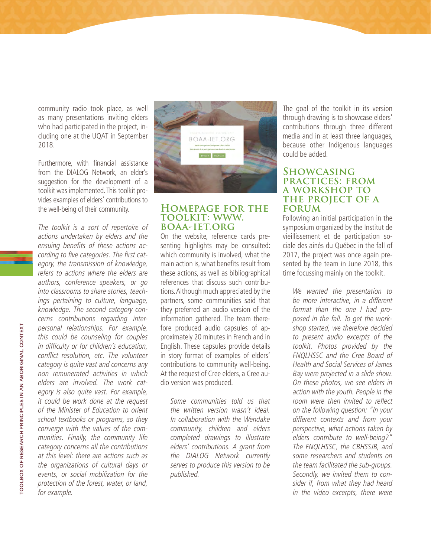community radio took place, as well as many presentations inviting elders who had participated in the project, including one at the UQAT in September 2018.

Furthermore, with financial assistance from the DIALOG Network, an elder's suggestion for the development of a toolkit was implemented. This toolkit provides examples of elders' contributions to the well-being of their community.

The toolkit is a sort of repertoire of actions undertaken by elders and the ensuing benefits of these actions according to five categories. The first category, the transmission of knowledge, refers to actions where the elders are authors, conference speakers, or go into classrooms to share stories, teachings pertaining to culture, language, knowledge. The second category concerns contributions regarding interpersonal relationships. For example, this could be counseling for couples in difficulty or for children's education, conflict resolution, etc. The volunteer category is quite vast and concerns any non remunerated activities in which elders are involved. The work category is also quite vast. For example, it could be work done at the request of the Minister of Education to orient school textbooks or programs, so they converge with the values of the communities. Finally, the community life category concerns all the contributions at this level: there are actions such as the organizations of cultural days or events, or social mobilization for the protection of the forest, water, or land, for example.



### **Homepage for the toolkit: [www.](http://www.boaa-iet.org) [boaa-iet.org](http://www.boaa-iet.org)**

On the website, reference cards presenting highlights may be consulted: which community is involved, what the main action is, what benefits result from these actions, as well as bibliographical references that discuss such contributions. Although much appreciated by the partners, some communities said that they preferred an audio version of the information gathered. The team therefore produced audio capsules of approximately 20 minutes in French and in English. These capsules provide details in story format of examples of elders' contributions to community well-being. At the request of Cree elders, a Cree audio version was produced.

Some communities told us that the written version wasn't ideal. In collaboration with the Wendake community, children and elders completed drawings to illustrate elders' contributions. A grant from the DIALOG Network currently serves to produce this version to be published.

The goal of the toolkit in its version through drawing is to showcase elders' contributions through three different media and in at least three languages, because other Indigenous languages could be added.

# **Showcasing practices: from a workshop to the project of a forum**

Following an initial participation in the symposium organized by the Institut de vieillissement et de participation sociale des ainés du Québec in the fall of 2017, the project was once again presented by the team in June 2018, this time focussing mainly on the toolkit.

We wanted the presentation to be more interactive, in a different format than the one I had proposed in the fall. To get the workshop started, we therefore decided to present audio excerpts of the toolkit. Photos provided by the FNQLHSSC and the Cree Board of Health and Social Services of James Bay were projected in a slide show. On these photos, we see elders in action with the youth. People in the room were then invited to reflect on the following question: "In your different contexts and from your perspective, what actions taken by elders contribute to well-being?" The FNQLHSSC, the CBHSSJB, and some researchers and students on the team facilitated the sub-groups. Secondly, we invited them to consider if, from what they had heard in the video excerpts, there were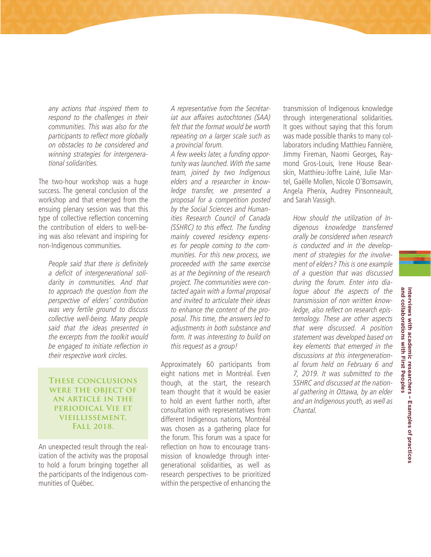any actions that inspired them to respond to the challenges in their communities. This was also for the participants to reflect more globally on obstacles to be considered and winning strategies for intergenerational solidarities.

The two-hour workshop was a huge success. The general conclusion of the workshop and that emerged from the ensuing plenary session was that this type of collective reflection concerning the contribution of elders to well-being was also relevant and inspiring for non-Indigenous communities.

People said that there is definitely a deficit of intergenerational solidarity in communities. And that to approach the question from the perspective of elders' contribution was very fertile ground to discuss collective well-being. Many people said that the ideas presented in the excerpts from the toolkit would be engaged to initiate reflection in their respective work circles.

**These conclusions were the object of an article in the periodical Vie et vieillissement, Fall 2018.**

An unexpected result through the realization of the activity was the proposal to hold a forum bringing together all the participants of the Indigenous communities of Québec.

A representative from the Secrétariat aux affaires autochtones (SAA) felt that the format would be worth repeating on a larger scale such as a provincial forum.

A few weeks later, a funding opportunity was launched. With the same team, joined by two Indigenous elders and a researcher in knowledge transfer, we presented a proposal for a competition posted by the Social Sciences and Humanities Research Council of Canada (SSHRC) to this effect. The funding mainly covered residency expenses for people coming to the communities. For this new process, we proceeded with the same exercise as at the beginning of the research project. The communities were contacted again with a formal proposal and invited to articulate their ideas to enhance the content of the proposal. This time, the answers led to adjustments in both substance and form. It was interesting to build on this request as a group!

Approximately 60 participants from eight nations met in Montréal. Even though, at the start, the research team thought that it would be easier to hold an event further north, after consultation with representatives from different Indigenous nations, Montréal was chosen as a gathering place for the forum. This forum was a space for reflection on how to encourage transmission of knowledge through intergenerational solidarities, as well as research perspectives to be prioritized within the perspective of enhancing the

transmission of Indigenous knowledge through intergenerational solidarities. It goes without saying that this forum was made possible thanks to many collaborators including Matthieu Fannière, Jimmy Fireman, Naomi Georges, Raymond Gros-Louis, Irene House Bearskin, Matthieu-Joffre Lainé, Julie Martel, Gaëlle Mollen, Nicole O'Bomsawin, Angela Phenix, Audrey Pinsonneault, and Sarah Vassigh.

How should the utilization of Indigenous knowledge transferred orally be considered when research is conducted and in the development of strategies for the involvement of elders? This is one example of a question that was discussed during the forum. Enter into dialogue about the aspects of the transmission of non written knowledge, also reflect on research epistemology. These are other aspects that were discussed. A position statement was developed based on key elements that emerged in the discussions at this intergenerational forum held on February 6 and 7, 2019. It was submitted to the SSHRC and discussed at the national gathering in Ottawa, by an elder and an Indigenous youth, as well as Chantal.